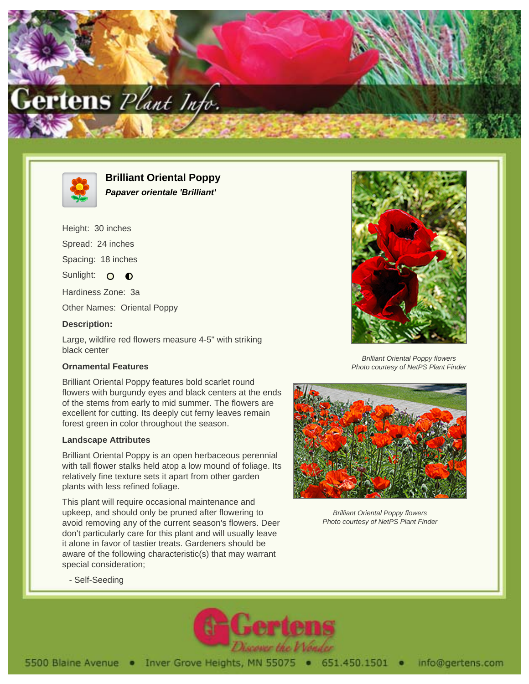



**Brilliant Oriental Poppy Papaver orientale 'Brilliant'**

Height: 30 inches

Spread: 24 inches

Spacing: 18 inches

Sunlight:  $\circ$  $\bullet$ 

Hardiness Zone: 3a

Other Names: Oriental Poppy

## **Description:**

Large, wildfire red flowers measure 4-5" with striking black center

## **Ornamental Features**

Brilliant Oriental Poppy features bold scarlet round flowers with burgundy eyes and black centers at the ends of the stems from early to mid summer. The flowers are excellent for cutting. Its deeply cut ferny leaves remain forest green in color throughout the season.

## **Landscape Attributes**

Brilliant Oriental Poppy is an open herbaceous perennial with tall flower stalks held atop a low mound of foliage. Its relatively fine texture sets it apart from other garden plants with less refined foliage.

This plant will require occasional maintenance and upkeep, and should only be pruned after flowering to avoid removing any of the current season's flowers. Deer don't particularly care for this plant and will usually leave it alone in favor of tastier treats. Gardeners should be aware of the following characteristic(s) that may warrant special consideration;



Brilliant Oriental Poppy flowers Photo courtesy of NetPS Plant Finder



Brilliant Oriental Poppy flowers Photo courtesy of NetPS Plant Finder

- Self-Seeding